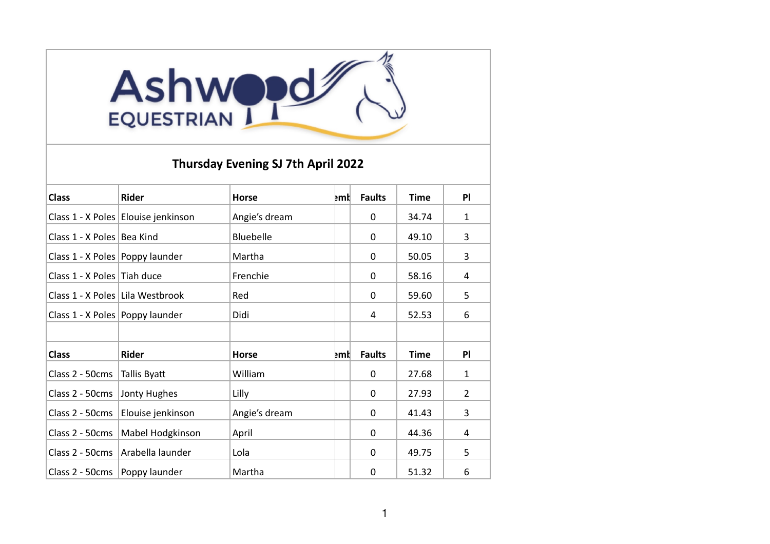## Ashwood

## **Thursday Evening SJ 7th April 2022**

| <b>Class</b>                       | <b>Rider</b>                        | <b>Horse</b>     | <b>Emt</b> | <b>Faults</b> | <b>Time</b> | PI             |
|------------------------------------|-------------------------------------|------------------|------------|---------------|-------------|----------------|
|                                    | Class 1 - X Poles Elouise jenkinson | Angie's dream    |            | 0             | 34.74       | $\mathbf{1}$   |
| Class 1 - X Poles   Bea Kind       |                                     | <b>Bluebelle</b> |            | 0             | 49.10       | 3              |
| Class 1 - X Poles Poppy launder    |                                     | Martha           |            | $\Omega$      | 50.05       | 3              |
| Class 1 - X Poles Tiah duce        |                                     | Frenchie         |            | 0             | 58.16       | 4              |
| Class 1 - X Poles   Lila Westbrook |                                     | Red              |            | 0             | 59.60       | 5              |
| Class 1 - X Poles   Poppy launder  |                                     | Didi             |            | 4             | 52.53       | 6              |
|                                    |                                     |                  |            |               |             |                |
| <b>Class</b>                       | <b>Rider</b>                        | <b>Horse</b>     | <b>Emt</b> | <b>Faults</b> | <b>Time</b> | P              |
| Class 2 - 50cms                    | Tallis Byatt                        | William          |            | 0             | 27.68       | $\mathbf{1}$   |
| Class 2 - 50cms                    | Jonty Hughes                        | Lilly            |            | 0             | 27.93       | $\overline{2}$ |
| Class 2 - 50cms                    | Elouise jenkinson                   | Angie's dream    |            | $\Omega$      | 41.43       | 3              |
| Class 2 - 50cms                    | Mabel Hodgkinson                    | April            |            | 0             | 44.36       | 4              |
| Class 2 - 50cms                    | Arabella launder                    | Lola             |            | 0             | 49.75       | 5              |
| Class 2 - 50cms                    | Poppy launder                       | Martha           |            | 0             | 51.32       | 6              |
|                                    |                                     |                  |            |               |             |                |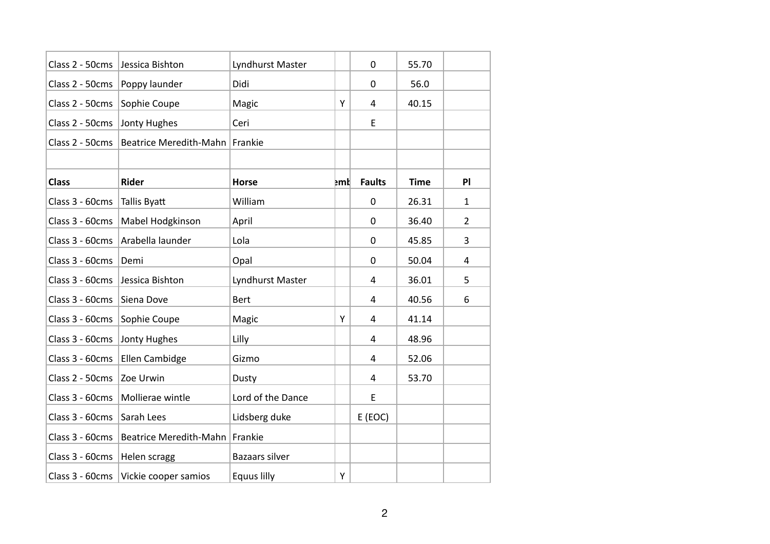| Class 2 - 50cms | Jessica Bishton               | Lyndhurst Master   |     | 0             | 55.70       |                |
|-----------------|-------------------------------|--------------------|-----|---------------|-------------|----------------|
| Class 2 - 50cms | Poppy launder                 | Didi               |     | 0             | 56.0        |                |
| Class 2 - 50cms | Sophie Coupe                  | Magic              | Υ   | 4             | 40.15       |                |
| Class 2 - 50cms | Jonty Hughes                  | Ceri               |     | E             |             |                |
| Class 2 - 50cms | <b>Beatrice Meredith-Mahn</b> | Frankie            |     |               |             |                |
|                 |                               |                    |     |               |             |                |
| <b>Class</b>    | <b>Rider</b>                  | <b>Horse</b>       | ⊵mt | <b>Faults</b> | <b>Time</b> | PI             |
| Class 3 - 60cms | Tallis Byatt                  | William            |     | 0             | 26.31       | 1              |
| Class 3 - 60cms | Mabel Hodgkinson              | April              |     | 0             | 36.40       | $\overline{2}$ |
| Class 3 - 60cms | Arabella launder              | Lola               |     | 0             | 45.85       | 3              |
| Class 3 - 60cms | Demi                          | Opal               |     | 0             | 50.04       | 4              |
| Class 3 - 60cms | Jessica Bishton               | Lyndhurst Master   |     | 4             | 36.01       | 5              |
| Class 3 - 60cms | Siena Dove                    | Bert               |     | 4             | 40.56       | 6              |
| Class 3 - 60cms | Sophie Coupe                  | Magic              | Υ   | 4             | 41.14       |                |
| Class 3 - 60cms | Jonty Hughes                  | Lilly              |     | 4             | 48.96       |                |
| Class 3 - 60cms | <b>Ellen Cambidge</b>         | Gizmo              |     | 4             | 52.06       |                |
| Class 2 - 50cms | Zoe Urwin                     | Dusty              |     | 4             | 53.70       |                |
| Class 3 - 60cms | Mollierae wintle              | Lord of the Dance  |     | E             |             |                |
| Class 3 - 60cms | Sarah Lees                    | Lidsberg duke      |     | E (EOC)       |             |                |
| Class 3 - 60cms | <b>Beatrice Meredith-Mahn</b> | Frankie            |     |               |             |                |
| Class 3 - 60cms | Helen scragg                  | Bazaars silver     |     |               |             |                |
| Class 3 - 60cms | Vickie cooper samios          | <b>Equus lilly</b> | Y   |               |             |                |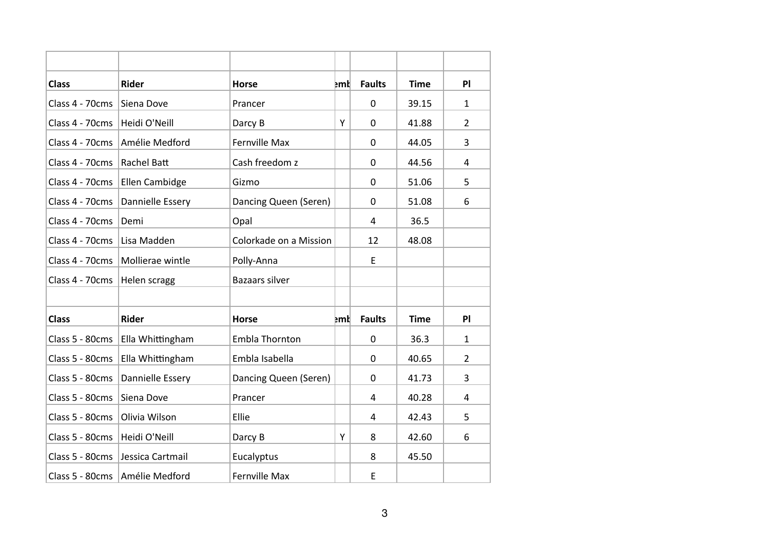| <b>Class</b>    | <b>Rider</b>                   | <b>Horse</b>           | ⊧ml | <b>Faults</b> | <b>Time</b> | PI             |
|-----------------|--------------------------------|------------------------|-----|---------------|-------------|----------------|
| Class 4 - 70cms | Siena Dove                     | Prancer                |     | 0             | 39.15       | $\mathbf{1}$   |
| Class 4 - 70cms | Heidi O'Neill                  | Darcy B                | Y   | 0             | 41.88       | $\overline{2}$ |
| Class 4 - 70cms | Amélie Medford                 | <b>Fernville Max</b>   |     | 0             | 44.05       | 3              |
| Class 4 - 70cms | Rachel Batt                    | Cash freedom z         |     | 0             | 44.56       | 4              |
| Class 4 - 70cms | Ellen Cambidge                 | Gizmo                  |     | 0             | 51.06       | 5              |
| Class 4 - 70cms | Dannielle Essery               | Dancing Queen (Seren)  |     | 0             | 51.08       | 6              |
| Class 4 - 70cms | Demi                           | Opal                   |     | 4             | 36.5        |                |
| Class 4 - 70cms | Lisa Madden                    | Colorkade on a Mission |     | 12            | 48.08       |                |
| Class 4 - 70cms | Mollierae wintle               | Polly-Anna             |     | E             |             |                |
| Class 4 - 70cms | Helen scragg                   | <b>Bazaars silver</b>  |     |               |             |                |
|                 |                                |                        |     |               |             |                |
| <b>Class</b>    | <b>Rider</b>                   | <b>Horse</b>           | իակ | <b>Faults</b> | <b>Time</b> | PI             |
| Class 5 - 80cms | Ella Whittingham               | Embla Thornton         |     | $\mathbf 0$   | 36.3        | $\mathbf{1}$   |
| Class 5 - 80cms | Ella Whittingham               | Embla Isabella         |     | 0             | 40.65       | $\overline{2}$ |
| Class 5 - 80cms | Dannielle Essery               | Dancing Queen (Seren)  |     | 0             | 41.73       | 3              |
| Class 5 - 80cms | Siena Dove                     | Prancer                |     | 4             | 40.28       | 4              |
| Class 5 - 80cms | Olivia Wilson                  | Ellie                  |     | 4             | 42.43       | 5              |
| Class 5 - 80cms | Heidi O'Neill                  | Darcy B                | Y   | 8             | 42.60       | 6              |
| Class 5 - 80cms | Jessica Cartmail               | Eucalyptus             |     | 8             | 45.50       |                |
|                 | Class 5 - 80cms Amélie Medford | <b>Fernville Max</b>   |     | E             |             |                |